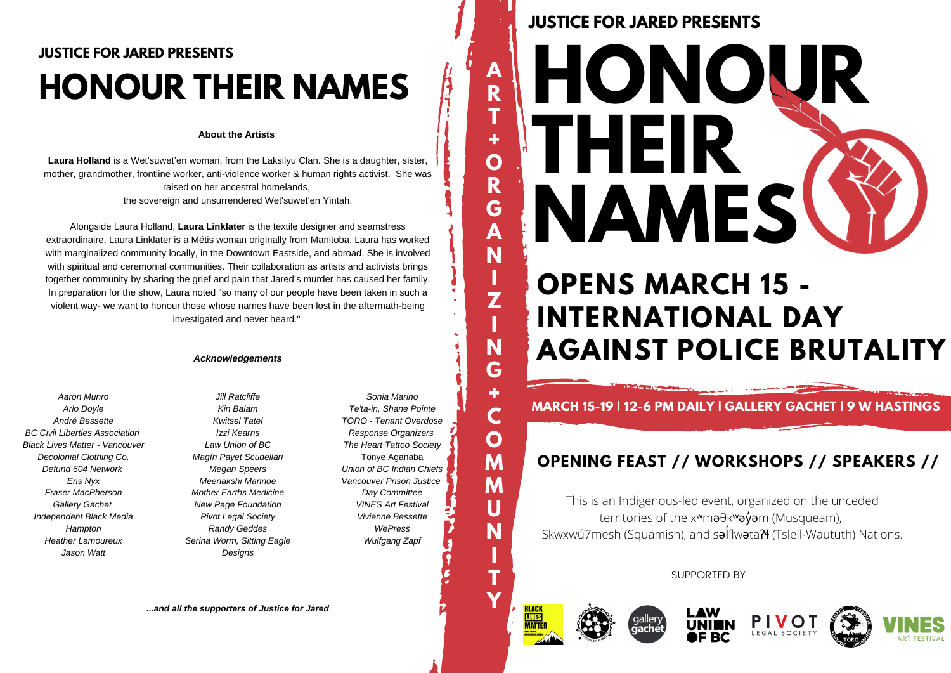# **JUSTICE FOR JARED PRESENTS HONOUR THEIR NAMES**

### **About the Artists**

Laura Holland is a Wet'suwet'en woman, from the Laksilyu Clan. She is a daughter, sister, mother, grandmother, frontline worker, anti-violence worker & human rights activist. She was raised on her ancestral homelands. the sovereign and unsurrendered Wet'suwet'en Yintah.

Alongside Laura Holland, Laura Linklater is the textile designer and seamstress extraordinaire. Laura Linklater is a Métis woman originally from Manitoba. Laura has worked with marginalized community locally, in the Downtown Eastside, and abroad. She is involved with spiritual and ceremonial communities. Their collaboration as artists and activists brings together community by sharing the grief and pain that Jared's murder has caused her family. In preparation for the show. Laura noted "so many of our people have been taken in such a violent way- we want to honour those whose names have been lost in the aftermath-being investigated and never heard."

#### **Acknowledgements**

Aaron Munro Arlo Dovle André Bessette **BC Civil Liberties Association Black Lives Matter - Vancouver** Decolonial Clothing Co. Defund 604 Network Eris Nvx Fraser MacPherson **Gallery Gachet** Independent Black Media Hampton **Heather Lamoureux** Jason Watt

Jill Ratcliffe Kin Ralam **Kwitsel Tatel** Izzi Kearns Law Union of BC Magín Payet Scudellari **Megan Speers** Meenakshi Mannoe **Mother Earths Medicine** New Page Foundation **Pivot Legal Society Randy Geddes** Serina Worm, Sitting Eagle Designs

Sonia Marino Te'ta-in, Shane Pointe TORO - Tenant Overdose Response Organizers The Heart Tattoo Society Tonve Aganaba Union of BC Indian Chiefs Vancouver Prison Justice Day Committee **VINES Art Festival** Vivienne Bessette WePress Wulfgang Zapf

...and all the supporters of Justice for Jared

# **JUSTICE FOR JARED PRESENTS**

A

R T

÷

 $\overline{O}$ 

R

Ġ

A

N

 $\overline{z}$ 

N

G

÷

C

 $\mathbf O$ 

M

M

U

N

T

Y

**MATTE** 

# HONOUR HEII П **NAMES**

# **OPENS MARCH 15 -INTERNATIONAL DAY AGAINST POLICE BRUTALITY**

**MARCH 15-19 | 12-6 PM DAILY | GALLERY GACHET | 9 W HASTINGS** 

# OPENING FEAST // WORKSHOPS // SPEAKERS //

This is an Indigenous-led event, organized on the unceded territories of the x<sup>w</sup>ma0kwayam (Musqueam), Skwxwú7mesh (Squamish), and salílwata? (Tsleil-Waututh) Nations.

**SUPPORTED BY**